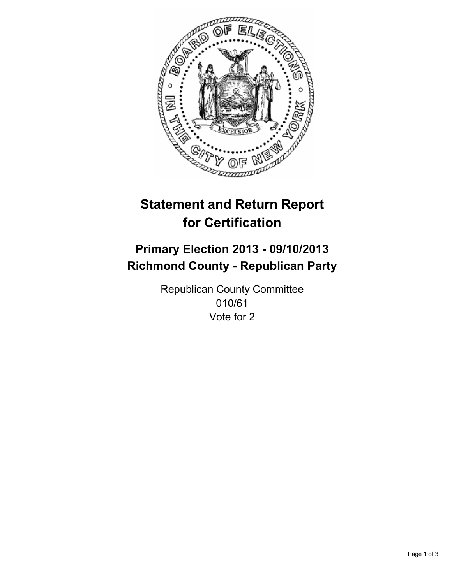

# **Statement and Return Report for Certification**

## **Primary Election 2013 - 09/10/2013 Richmond County - Republican Party**

Republican County Committee 010/61 Vote for 2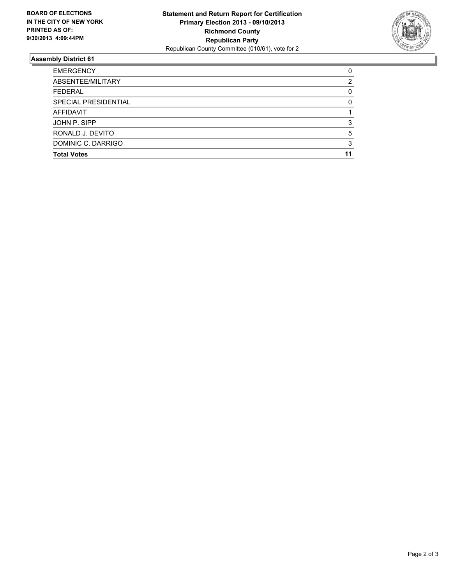

## **Assembly District 61**

| <b>EMERGENCY</b>     | 0  |
|----------------------|----|
| ABSENTEE/MILITARY    | 2  |
| <b>FEDERAL</b>       | 0  |
| SPECIAL PRESIDENTIAL | 0  |
| <b>AFFIDAVIT</b>     |    |
| JOHN P. SIPP         | 3  |
| RONALD J. DEVITO     | 5  |
| DOMINIC C. DARRIGO   | 3  |
| <b>Total Votes</b>   | 11 |